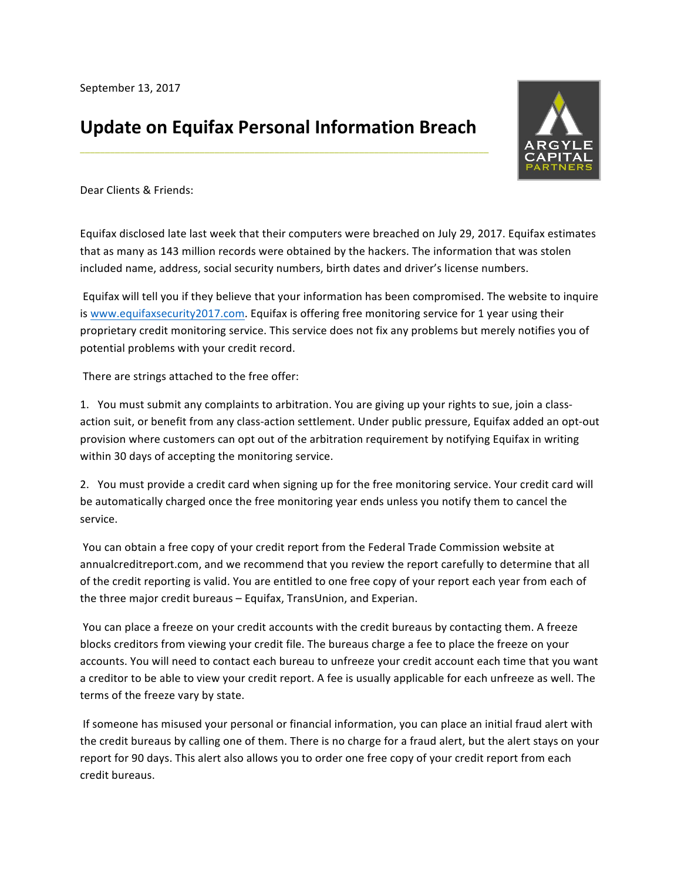## **Update on Equifax Personal Information Breach**

**\_\_\_\_\_\_\_\_\_\_\_\_\_\_\_\_\_\_\_\_\_\_\_\_\_\_\_\_\_\_\_\_\_\_\_\_\_\_\_\_\_\_\_\_\_\_\_\_\_\_\_\_\_\_\_\_\_\_\_\_\_\_\_\_\_\_\_\_\_\_\_\_\_\_\_\_\_\_\_\_\_\_**



Dear Clients & Friends:

Equifax disclosed late last week that their computers were breached on July 29, 2017. Equifax estimates that as many as 143 million records were obtained by the hackers. The information that was stolen included name, address, social security numbers, birth dates and driver's license numbers.

Equifax will tell you if they believe that your information has been compromised. The website to inquire is www.equifaxsecurity2017.com. Equifax is offering free monitoring service for 1 year using their proprietary credit monitoring service. This service does not fix any problems but merely notifies you of potential problems with your credit record.

There are strings attached to the free offer:

1. You must submit any complaints to arbitration. You are giving up your rights to sue, join a classaction suit, or benefit from any class-action settlement. Under public pressure, Equifax added an opt-out provision where customers can opt out of the arbitration requirement by notifying Equifax in writing within 30 days of accepting the monitoring service.

2. You must provide a credit card when signing up for the free monitoring service. Your credit card will be automatically charged once the free monitoring year ends unless you notify them to cancel the service.

You can obtain a free copy of your credit report from the Federal Trade Commission website at annualcreditreport.com, and we recommend that you review the report carefully to determine that all of the credit reporting is valid. You are entitled to one free copy of your report each year from each of the three major credit bureaus - Equifax, TransUnion, and Experian.

You can place a freeze on your credit accounts with the credit bureaus by contacting them. A freeze blocks creditors from viewing your credit file. The bureaus charge a fee to place the freeze on your accounts. You will need to contact each bureau to unfreeze your credit account each time that you want a creditor to be able to view your credit report. A fee is usually applicable for each unfreeze as well. The terms of the freeze vary by state.

If someone has misused your personal or financial information, you can place an initial fraud alert with the credit bureaus by calling one of them. There is no charge for a fraud alert, but the alert stays on your report for 90 days. This alert also allows you to order one free copy of your credit report from each credit bureaus.